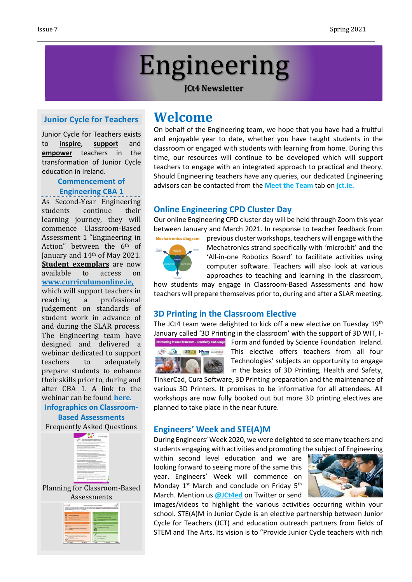# Engineering

#### **JCt4 Newsletter**

#### **Junior Cycle for Teachers**

Junior Cycle for Teachers exists to **inspire**, **support** and **empower** teachers in the transformation of Junior Cycle education in Ireland.

#### **Commencement of Engineering CBA 1**

As Second-Year Engineering students continue their learning journey, they will commence Classroom-Based Assessment 1 "Engineering in Action" between the 6<sup>th</sup> of January and 14th of May 2021. **Student exemplars** are now available to access on **[www.curriculumonline.ie,](https://www.curriculumonline.ie/Junior-cycle/Junior-Cycle-Subjects/Engineering/)** which will support teachers in reaching a professional judgement on standards of student work in advance of and during the SLAR process. The Engineering team have designed and delivered a webinar dedicated to support teachers to adequately prepare students to enhance their skills prior to, during and after CBA 1. A link to the webinar can be found **[here](https://www.jct.ie/technologies/cpd_supports_engineering_elective_workshops)**.

#### **Infographics on Classroom-Based Assessments**

Frequently Asked Questions



Planning for Classroom-Based



## **Welcome**

On behalf of the Engineering team, we hope that you have had a fruitful and enjoyable year to date, whether you have taught students in the classroom or engaged with students with learning from home. During this time, our resources will continue to be developed which will support teachers to engage with an integrated approach to practical and theory. Should Engineering teachers have any queries, our dedicated Engineering advisors can be contacted from the **[Meet the Team](http://jct.ie/home/meet_the_team)** tab on **[jct.ie.](http://jct.ie/home/home.php)**

#### **Online Engineering CPD Cluster Day**

Our online Engineering CPD cluster day will be held through Zoom this year between January and March 2021. In response to teacher feedback from



Mechatronics diagram previous cluster workshops, teachers will engage with the Mechatronics strand specifically with 'micro:bit' and the 'All-in-one Robotics Board' to facilitate activities using computer software. Teachers will also look at various approaches to teaching and learning in the classroom,

how students may engage in Classroom-Based Assessments and how teachers will prepare themselves prior to, during and after a SLAR meeting.

#### **3D Printing in the Classroom Elective**

The JCt4 team were delighted to kick off a new elective on Tuesday 19<sup>th</sup> January called '3D Printing in the classroom' with the support of 3D WIT, I-



3D Printing in the Classroom - Creativity and Design Form and funded by Science Foundation Ireland. This elective offers teachers from all four Technologies' subjects an opportunity to engage in the basics of 3D Printing, Health and Safety,

TinkerCad, Cura Software, 3D Printing preparation and the maintenance of various 3D Printers. It promises to be informative for all attendees. All workshops are now fully booked out but more 3D printing electives are planned to take place in the near future.

#### **Engineers' Week and STE(A)M**

During Engineers' Week 2020, we were delighted to see many teachers and students engaging with activities and promoting the subject of Engineering

within second level education and we are looking forward to seeing more of the same this year. Engineers' Week will commence on Monday 1<sup>st</sup> March and conclude on Friday 5<sup>th</sup> March. Mention us **[@JCt4ed](https://twitter.com/JCt4ed)** on Twitter or send



images/videos to highlight the various activities occurring within your school. STE(A)M in Junior Cycle is an elective partnership between Junior Cycle for Teachers (JCT) and education outreach partners from fields of STEM and The Arts. Its vision is to "Provide Junior Cycle teachers with rich